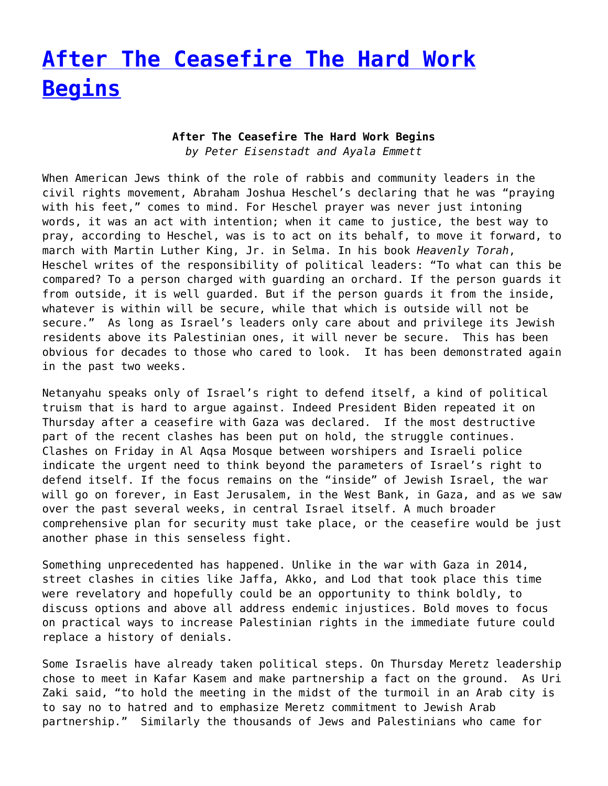## **[After The Ceasefire The Hard Work](https://www.progressiveisrael.org/after-the-ceasefire-the-hard-work-begins/) [Begins](https://www.progressiveisrael.org/after-the-ceasefire-the-hard-work-begins/)**

## **After The Ceasefire The Hard Work Begins** *by Peter Eisenstadt and Ayala Emmett*

When American Jews think of the role of rabbis and community leaders in the civil rights movement, Abraham Joshua Heschel's declaring that he was "praying with his feet," comes to mind. For Heschel prayer was never just intoning words, it was an act with intention; when it came to justice, the best way to pray, according to Heschel, was is to act on its behalf, to move it forward, to march with Martin Luther King, Jr. in Selma. In his book *Heavenly Torah*, Heschel writes of the responsibility of political leaders: "To what can this be compared? To a person charged with guarding an orchard. If the person guards it from outside, it is well guarded. But if the person guards it from the inside, whatever is within will be secure, while that which is outside will not be secure." As long as Israel's leaders only care about and privilege its Jewish residents above its Palestinian ones, it will never be secure. This has been obvious for decades to those who cared to look. It has been demonstrated again in the past two weeks.

Netanyahu speaks only of Israel's right to defend itself, a kind of political truism that is hard to argue against. Indeed President Biden repeated it on Thursday after a ceasefire with Gaza was declared. If the most destructive part of the recent clashes has been put on hold, the struggle continues. Clashes on Friday in Al Aqsa Mosque between worshipers and Israeli police indicate the urgent need to think beyond the parameters of Israel's right to defend itself. If the focus remains on the "inside" of Jewish Israel, the war will go on forever, in East Jerusalem, in the West Bank, in Gaza, and as we saw over the past several weeks, in central Israel itself. A much broader comprehensive plan for security must take place, or the ceasefire would be just another phase in this senseless fight.

Something unprecedented has happened. Unlike in the war with Gaza in 2014, street clashes in cities like Jaffa, Akko, and Lod that took place this time were revelatory and hopefully could be an opportunity to think boldly, to discuss options and above all address endemic injustices. Bold moves to focus on practical ways to increase Palestinian rights in the immediate future could replace a history of denials.

Some Israelis have already taken political steps. On Thursday Meretz leadership chose to meet in Kafar Kasem and make partnership a fact on the ground. As Uri Zaki said, "to hold the meeting in the midst of the turmoil in an Arab city is to say no to hatred and to emphasize Meretz commitment to Jewish Arab partnership." Similarly the thousands of Jews and Palestinians who came for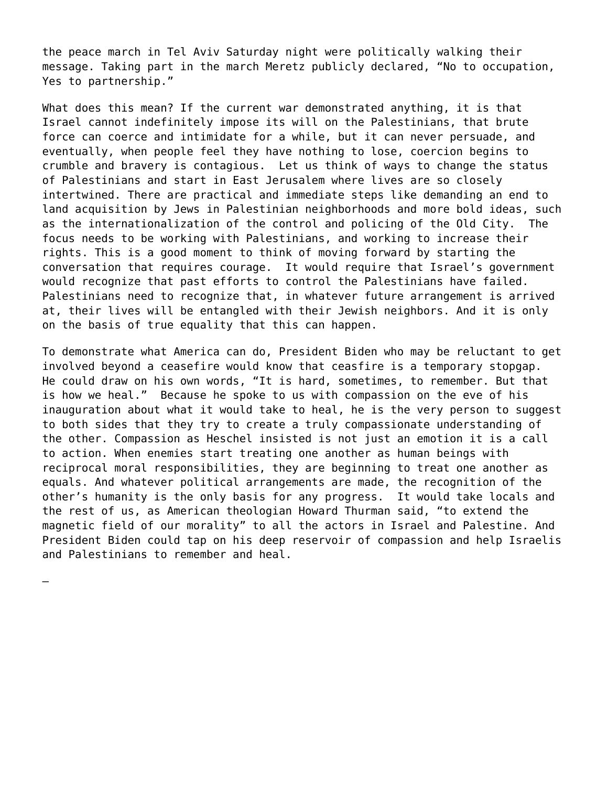the peace march in Tel Aviv Saturday night were politically walking their message. Taking part in the march Meretz publicly declared, "No to occupation, Yes to partnership."

What does this mean? If the current war demonstrated anything, it is that Israel cannot indefinitely impose its will on the Palestinians, that brute force can coerce and intimidate for a while, but it can never persuade, and eventually, when people feel they have nothing to lose, coercion begins to crumble and bravery is contagious. Let us think of ways to change the status of Palestinians and start in East Jerusalem where lives are so closely intertwined. There are practical and immediate steps like demanding an end to land acquisition by Jews in Palestinian neighborhoods and more bold ideas, such as the internationalization of the control and policing of the Old City. The focus needs to be working with Palestinians, and working to increase their rights. This is a good moment to think of moving forward by starting the conversation that requires courage. It would require that Israel's government would recognize that past efforts to control the Palestinians have failed. Palestinians need to recognize that, in whatever future arrangement is arrived at, their lives will be entangled with their Jewish neighbors. And it is only on the basis of true equality that this can happen.

To demonstrate what America can do, President Biden who may be reluctant to get involved beyond a ceasefire would know that ceasfire is a temporary stopgap. He could draw on his own words, "It is hard, sometimes, to remember. But that is how we heal." Because he spoke to us with compassion on the eve of his inauguration about what it would take to heal, he is the very person to suggest to both sides that they try to create a truly compassionate understanding of the other. Compassion as Heschel insisted is not just an emotion it is a call to action. When enemies start treating one another as human beings with reciprocal moral responsibilities, they are beginning to treat one another as equals. And whatever political arrangements are made, the recognition of the other's humanity is the only basis for any progress. It would take locals and the rest of us, as American theologian Howard Thurman said, "to extend the magnetic field of our morality" to all the actors in Israel and Palestine. And President Biden could tap on his deep reservoir of compassion and help Israelis and Palestinians to remember and heal.

—